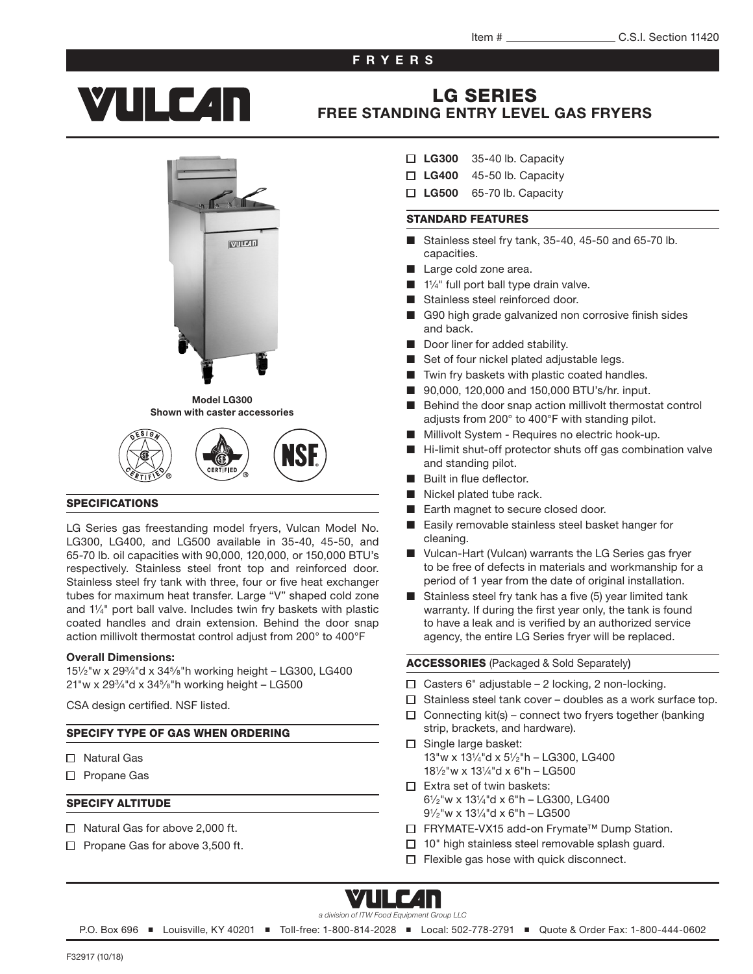### FRYERS

# **YTILE 4n**

# LG SERIES [FREE STANDING ENTRY LEVEL GAS FRYERS](http://www.vulcanequipment.com/Products/LG-Series-Freestanding-Gas-Fryers/)



#### Model LG300 Shown with caster accessories

#### SPECIFICATIONS

LG Series gas freestanding model fryers, Vulcan Model No. LG300, LG400, and LG500 available in 35-40, 45-50, and 65-70 lb. oil capacities with 90,000, 120,000, or 150,000 BTU's respectively. Stainless steel front top and reinforced door. Stainless steel fry tank with three, four or five heat exchanger tubes for maximum heat transfer. Large "V" shaped cold zone and 1<sup>1</sup> ⁄4" port ball valve. Includes twin fry baskets with plastic coated handles and drain extension. Behind the door snap action millivolt thermostat control adjust from 200° to 400°F

#### Overall Dimensions:

15<sup>1</sup> ⁄2"w x 29<sup>3</sup> ⁄4"d x 34<sup>5</sup> ⁄8"h working height – LG300, LG400 21"w x 29<sup>3</sup> ⁄4"d x 34<sup>5</sup> ⁄8"h working height – LG500

CSA design certified. NSF listed.

#### SPECIFY TYPE OF GAS WHEN ORDERING

- □ Natural Gas
- □ Propane Gas

#### SPECIFY ALTITUDE

- $\Box$  Natural Gas for above 2,000 ft.
- $\Box$  Propane Gas for above 3,500 ft.
- $\Box$  LG300 35-40 lb. Capacity
- $\Box$  LG400 45-50 lb. Capacity
- $\Box$  LG500 65-70 lb. Capacity

#### STANDARD FEATURES

- Stainless steel fry tank, 35-40, 45-50 and 65-70 lb. capacities.
- Large cold zone area.
- 1¼" full port ball type drain valve.
- Stainless steel reinforced door.
- G90 high grade galvanized non corrosive finish sides and back.
- Door liner for added stability.
- Set of four nickel plated adjustable legs.
- Twin fry baskets with plastic coated handles.
- 90,000, 120,000 and 150,000 BTU's/hr. input.
- Behind the door snap action millivolt thermostat control adjusts from 200° to 400°F with standing pilot.
- Millivolt System Requires no electric hook-up.
- Hi-limit shut-off protector shuts off gas combination valve and standing pilot.
- Built in flue deflector.
- Nickel plated tube rack.
- Earth magnet to secure closed door.
- Easily removable stainless steel basket hanger for cleaning.
- Vulcan-Hart (Vulcan) warrants the LG Series gas fryer to be free of defects in materials and workmanship for a period of 1 year from the date of original installation.
- Stainless steel fry tank has a five (5) year limited tank warranty. If during the first year only, the tank is found to have a leak and is verified by an authorized service agency, the entire LG Series fryer will be replaced.

ACCESSORIES (Packaged & Sold Separately)

- $\Box$  Casters 6" adjustable 2 locking, 2 non-locking.
- $\Box$  Stainless steel tank cover doubles as a work surface top.
- $\Box$  Connecting kit(s) connect two fryers together (banking strip, brackets, and hardware).
- $\Box$  Single large basket: 13"w x 13<sup>1</sup> ⁄4"d x 5<sup>1</sup> ⁄2"h – LG300, LG400 18<sup>1</sup> ⁄2"w x 13<sup>1</sup> ⁄4"d x 6"h – LG500
- $\Box$  Extra set of twin baskets: 6 1 ⁄2"w x 13<sup>1</sup> ⁄4"d x 6"h – LG300, LG400 9 1 ⁄2"w x 13<sup>1</sup> ⁄4"d x 6"h – LG500
- □ FRYMATE-VX15 add-on Frymate<sup>™</sup> Dump Station.
- $\Box$  10" high stainless steel removable splash quard.
- $\Box$  Flexible gas hose with quick disconnect.